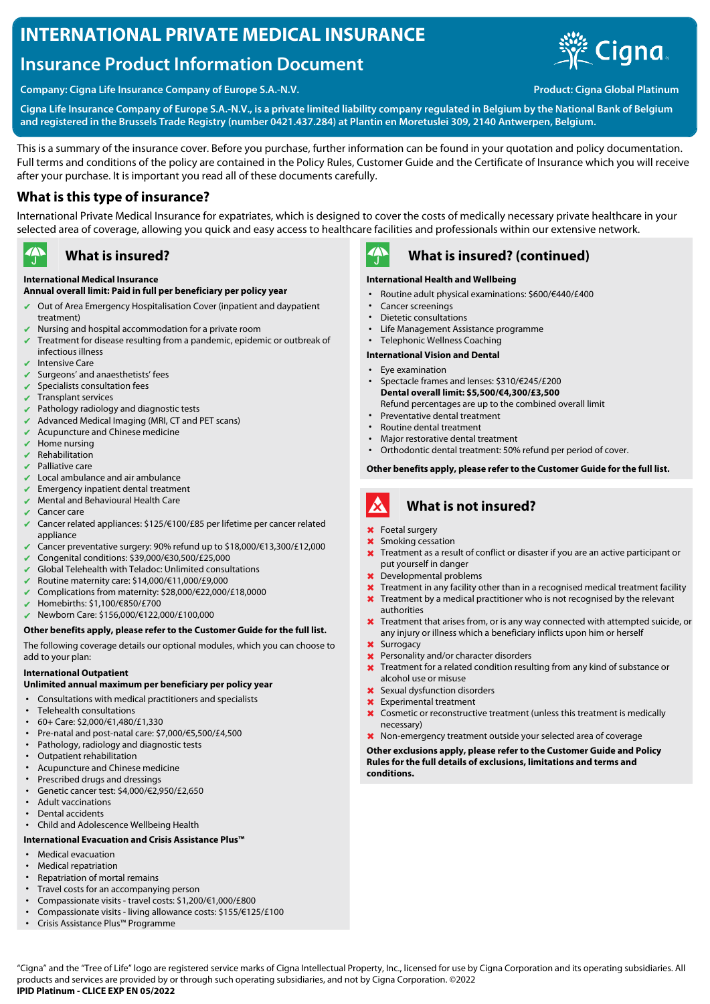# **INTERNATIONAL PRIVATE MEDICAL INSURANCE**

# **Insurance Product Information Document**



**Company: Cigna Life Insurance Company of Europe S.A.-N.V. Product: Cigna Global Platinum** 

**Cigna Life Insurance Company of Europe S.A.-N.V., is a private limited liability company regulated in Belgium by the National Bank of Belgium and registered in the Brussels Trade Registry (number 0421.437.284) at Plantin en Moretuslei 309, 2140 Antwerpen, Belgium.**

This is a summary of the insurance cover. Before you purchase, further information can be found in your quotation and policy documentation. Full terms and conditions of the policy are contained in the Policy Rules, Customer Guide and the Certificate of Insurance which you will receive after your purchase. It is important you read all of these documents carefully.

### **What is this type of insurance?**

International Private Medical Insurance for expatriates, which is designed to cover the costs of medically necessary private healthcare in your selected area of coverage, allowing you quick and easy access to healthcare facilities and professionals within our extensive network.

#### $\rightarrow$ **What is insured?**

#### **International Medical Insurance**

### **Annual overall limit: Paid in full per beneficiary per policy year**

- ✔ Out of Area Emergency Hospitalisation Cover (inpatient and daypatient treatment)
- Nursing and hospital accommodation for a private room
- Treatment for disease resulting from a pandemic, epidemic or outbreak of infectious illness
- $\overline{\smash{\checkmark}}$  Intensive Care
- Surgeons' and anaesthetists' fees
- $\vee$  Specialists consultation fees
- ✔ Transplant services
- Pathology radiology and diagnostic tests
- Advanced Medical Imaging (MRI, CT and PET scans)
- $\vee$  Acupuncture and Chinese medicine
- Home nursing
- **Rehabilitation**
- $\triangleright$  Palliative care
- Local ambulance and air ambulance
- Emergency inpatient dental treatment
- Mental and Behavioural Health Care
- Cancer care
- ✔ Cancer related appliances: \$125/€100/£85 per lifetime per cancer related appliance
- ✔ Cancer preventative surgery: 90% refund up to \$18,000/€13,300/£12,000
- ✔ Congenital conditions: \$39,000/€30,500/£25,000
- Global Telehealth with Teladoc: Unlimited consultations
- ✔ Routine maternity care: \$14,000/€11,000/£9,000
- ✔ Complications from maternity: \$28,000/€22,000/£18,0000
- ✔ Homebirths: \$1,100/€850/£700
- ✔ Newborn Care: \$156,000/€122,000/£100,000

#### **Other benefits apply, please refer to the Customer Guide for the full list.**

The following coverage details our optional modules, which you can choose to add to your plan:

#### **International Outpatient**

#### **Unlimited annual maximum per beneficiary per policy year**

- Consultations with medical practitioners and specialists
- Telehealth consultations
- 60+ Care: \$2,000/€1,480/£1,330
- Pre-natal and post-natal care: \$7,000/€5,500/£4,500
- Pathology, radiology and diagnostic tests
- Outpatient rehabilitation
- Acupuncture and Chinese medicine
- Prescribed drugs and dressings
- Genetic cancer test: \$4,000/€2,950/£2,650 • Adult vaccinations
- Dental accidents
- Child and Adolescence Wellbeing Health

### **International Evacuation and Crisis Assistance Plus™**

- Medical evacuation
- Medical repatriation
- Repatriation of mortal remains
- Travel costs for an accompanying person
- Compassionate visits travel costs: \$1,200/€1,000/£800
- Compassionate visits living allowance costs: \$155/€125/£100
- Crisis Assistance Plus™ Programme



### **What is insured? (continued)**

#### **International Health and Wellbeing**

- Routine adult physical examinations: \$600/€440/£400
- Cancer screenings
- Dietetic consultations
- Life Management Assistance programme
- Telephonic Wellness Coaching

#### **International Vision and Dental**

- Eye examination • Spectacle frames and lenses: \$310/€245/£200
- **Dental overall limit: \$5,500/€4,300/£3,500** Refund percentages are up to the combined overall limit
- Preventative dental treatment
- Routine dental treatment<br>• Major restorative dental t
- Major restorative dental treatment
- Orthodontic dental treatment: 50% refund per period of cover.

#### **Other benefits apply, please refer to the Customer Guide for the full list.**

#### A **What is not insured?**

- ✖ Foetal surgery
- Smoking cessation
- ✖ Treatment as a result of conflict or disaster if you are an active participant or put yourself in danger
- Developmental problems
- **X** Treatment in any facility other than in a recognised medical treatment facility **X** Treatment by a medical practitioner who is not recognised by the relevant
- authorities
- ✖ Treatment that arises from, or is any way connected with attempted suicide, or any injury or illness which a beneficiary inflicts upon him or herself
- ✖ Surrogacy
- **X** Personality and/or character disorders
- ✖ Treatment for a related condition resulting from any kind of substance or alcohol use or misuse
- ✖ Sexual dysfunction disorders
- ✖ Experimental treatment
- ✖ Cosmetic or reconstructive treatment (unless this treatment is medically necessary)
- ✖ Non-emergency treatment outside your selected area of coverage

**Other exclusions apply, please refer to the Customer Guide and Policy Rules for the full details of exclusions, limitations and terms and conditions.**

"Cigna" and the "Tree of Life" logo are registered service marks of Cigna Intellectual Property, Inc., licensed for use by Cigna Corporation and its operating subsidiaries. All products and services are provided by or through such operating subsidiaries, and not by Cigna Corporation. ©2022 **IPID Platinum - CLICE EXP EN 05/2022**